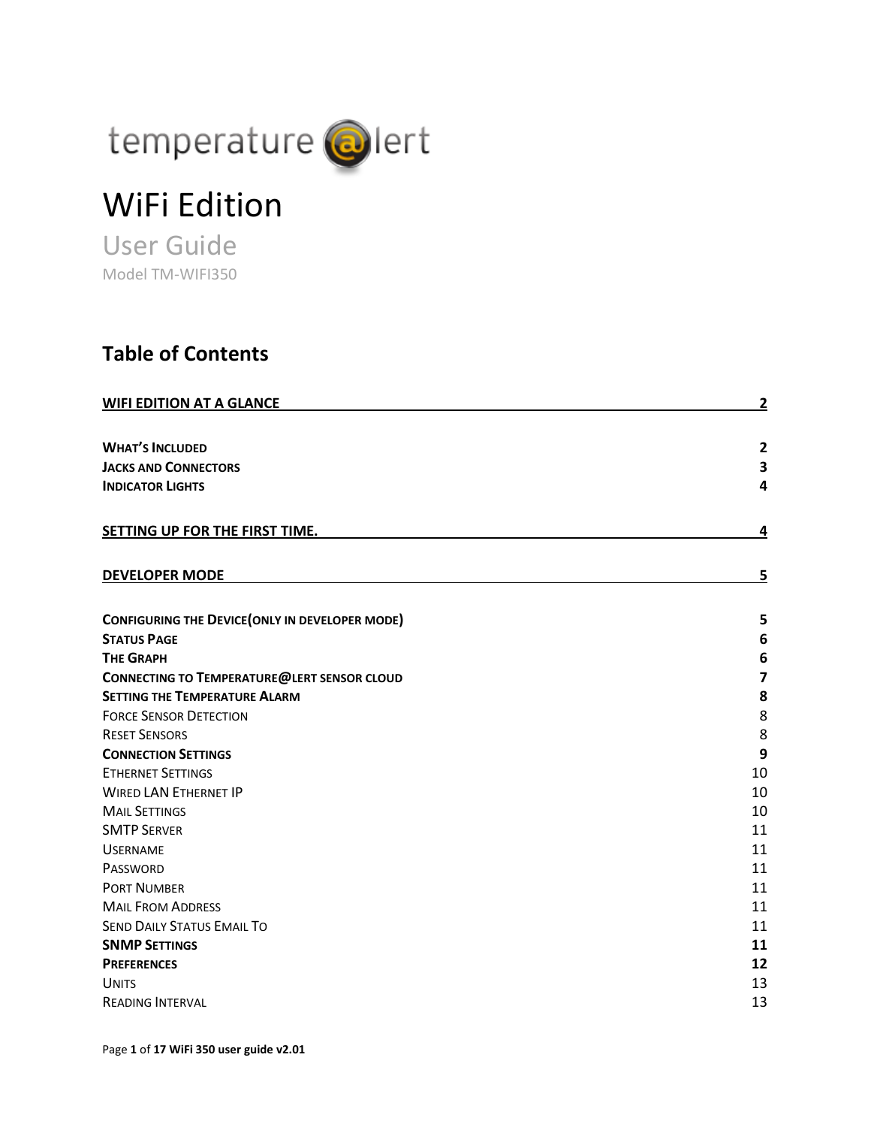

# WiFi Edition

User Guide Model TM-WIFI350

### **Table of Contents**

| <b>WIFI EDITION AT A GLANCE</b>                        | $\overline{2}$          |
|--------------------------------------------------------|-------------------------|
| <b>WHAT'S INCLUDED</b>                                 | $\overline{2}$          |
| <b>JACKS AND CONNECTORS</b>                            | 3                       |
| <b>INDICATOR LIGHTS</b>                                | 4                       |
|                                                        |                         |
| SETTING UP FOR THE FIRST TIME.                         | 4                       |
| <b>DEVELOPER MODE</b>                                  | 5                       |
| <b>CONFIGURING THE DEVICE (ONLY IN DEVELOPER MODE)</b> | 5                       |
| <b>STATUS PAGE</b>                                     | 6                       |
| <b>THE GRAPH</b>                                       | 6                       |
| <b>CONNECTING TO TEMPERATURE@LERT SENSOR CLOUD</b>     | $\overline{\mathbf{z}}$ |
| <b>SETTING THE TEMPERATURE ALARM</b>                   | 8                       |
| <b>FORCE SENSOR DETECTION</b>                          | 8                       |
| <b>RESET SENSORS</b>                                   | 8                       |
| <b>CONNECTION SETTINGS</b>                             | 9                       |
| <b>ETHERNET SETTINGS</b>                               | 10                      |
| <b>WIRED LAN ETHERNET IP</b>                           | 10                      |
| <b>MAIL SETTINGS</b>                                   | 10                      |
| <b>SMTP SERVER</b>                                     | 11                      |
| <b>USERNAME</b>                                        | 11                      |
| PASSWORD                                               | 11                      |
| <b>PORT NUMBER</b>                                     | 11                      |
| <b>MAIL FROM ADDRESS</b>                               | 11                      |
| <b>SEND DAILY STATUS EMAIL TO</b>                      | 11                      |
| <b>SNMP SETTINGS</b>                                   | 11                      |
| <b>PREFERENCES</b>                                     | 12                      |
| <b>UNITS</b>                                           | 13                      |
| <b>READING INTERVAL</b>                                | 13                      |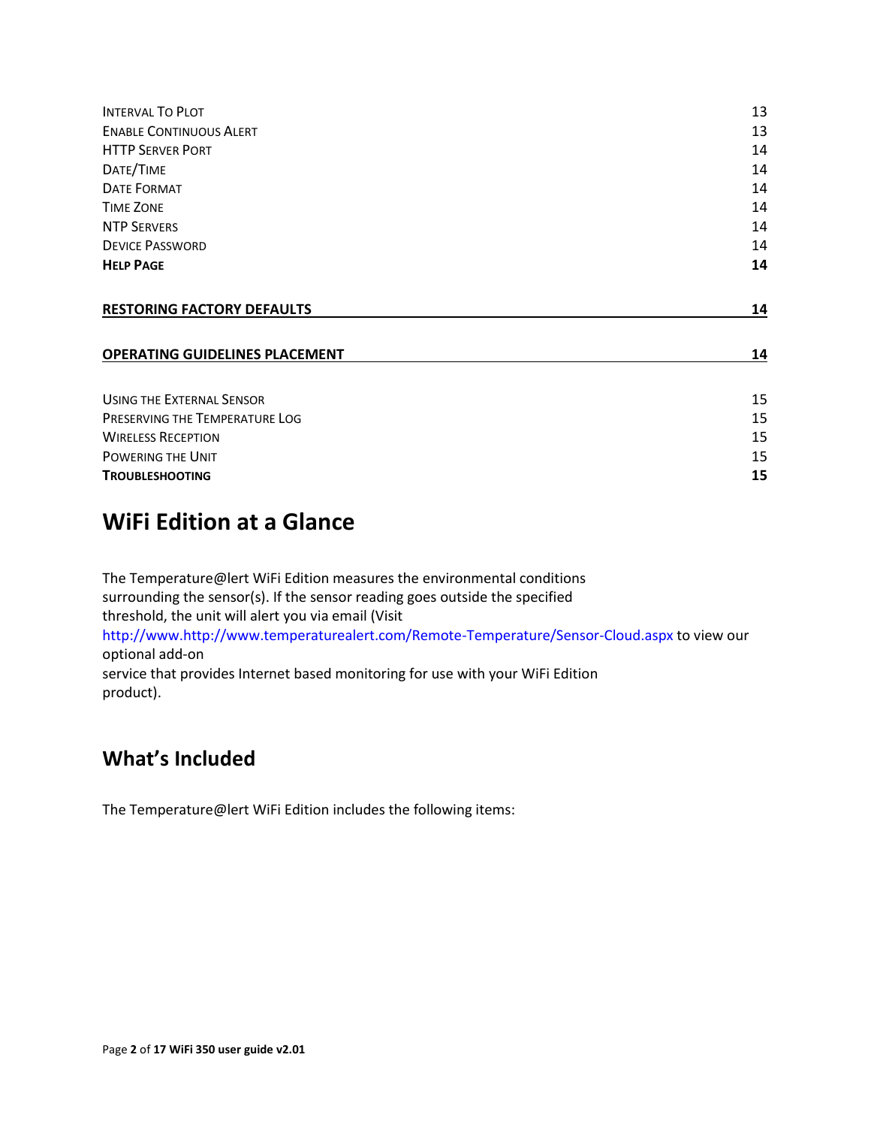| <b>INTERVAL TO PLOT</b>               | 13 |  |  |
|---------------------------------------|----|--|--|
| <b>ENABLE CONTINUOUS ALERT</b>        | 13 |  |  |
| <b>HTTP SERVER PORT</b>               | 14 |  |  |
| DATE/TIME                             | 14 |  |  |
| <b>DATE FORMAT</b>                    | 14 |  |  |
| <b>TIME ZONE</b>                      | 14 |  |  |
| <b>NTP SERVERS</b>                    | 14 |  |  |
| <b>DEVICE PASSWORD</b>                | 14 |  |  |
| <b>HELP PAGE</b>                      | 14 |  |  |
| <b>RESTORING FACTORY DEFAULTS</b>     | 14 |  |  |
| <b>OPERATING GUIDELINES PLACEMENT</b> | 14 |  |  |
| <b>USING THE EXTERNAL SENSOR</b>      | 15 |  |  |
| PRESERVING THE TEMPERATURE LOG        | 15 |  |  |
| <b>WIRELESS RECEPTION</b>             | 15 |  |  |
| POWERING THE UNIT                     |    |  |  |
| <b>TROUBLESHOOTING</b>                |    |  |  |
|                                       |    |  |  |

# <span id="page-1-0"></span>**WiFi Edition at a Glance**

The Temperature@lert WiFi Edition measures the environmental conditions surrounding the sensor(s). If the sensor reading goes outside the specified threshold, the unit will alert you via email (Visit http://www.http://www.temperaturealert.com/Remote-Temperature/Sensor-Cloud.aspx to view our optional add-on service that provides Internet based monitoring for use with your WiFi Edition product).

### <span id="page-1-1"></span>**What's Included**

The Temperature@lert WiFi Edition includes the following items: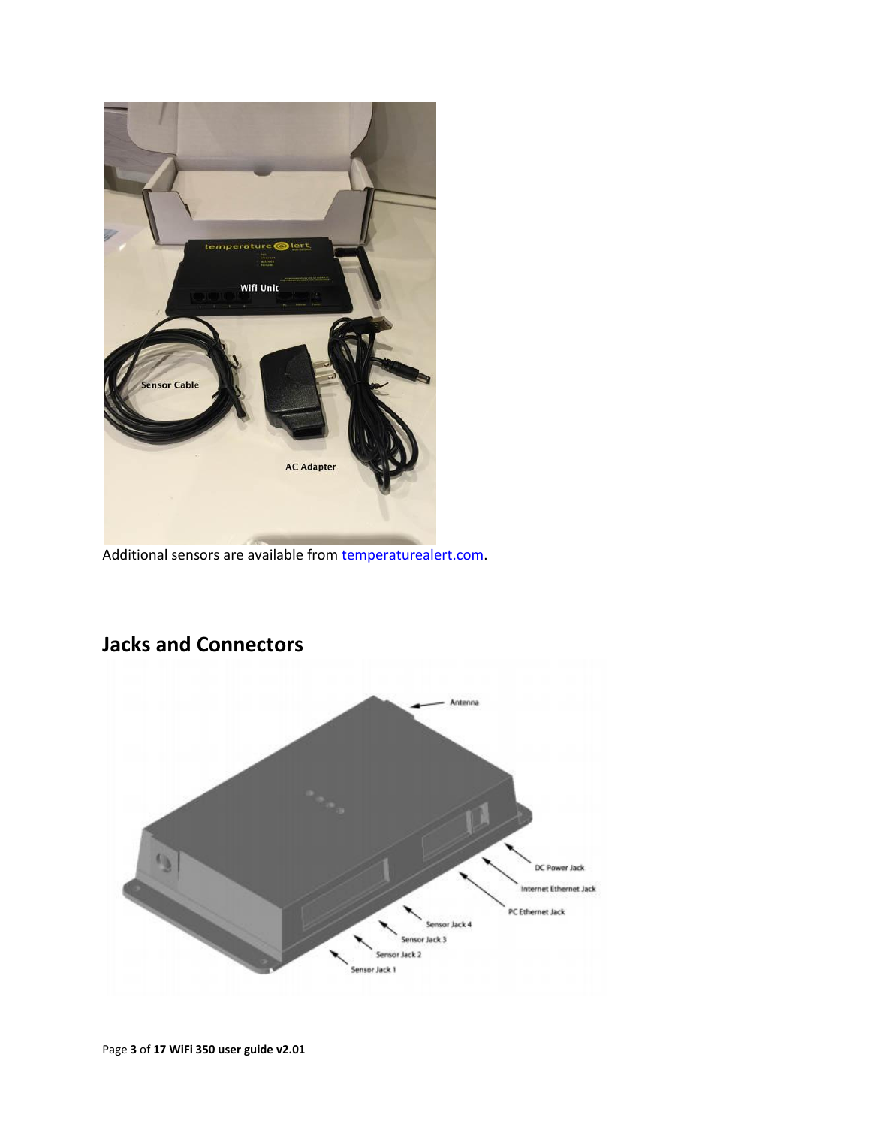

Additional sensors are available from temperaturealert.com.



# <span id="page-2-0"></span>**Jacks and Connectors**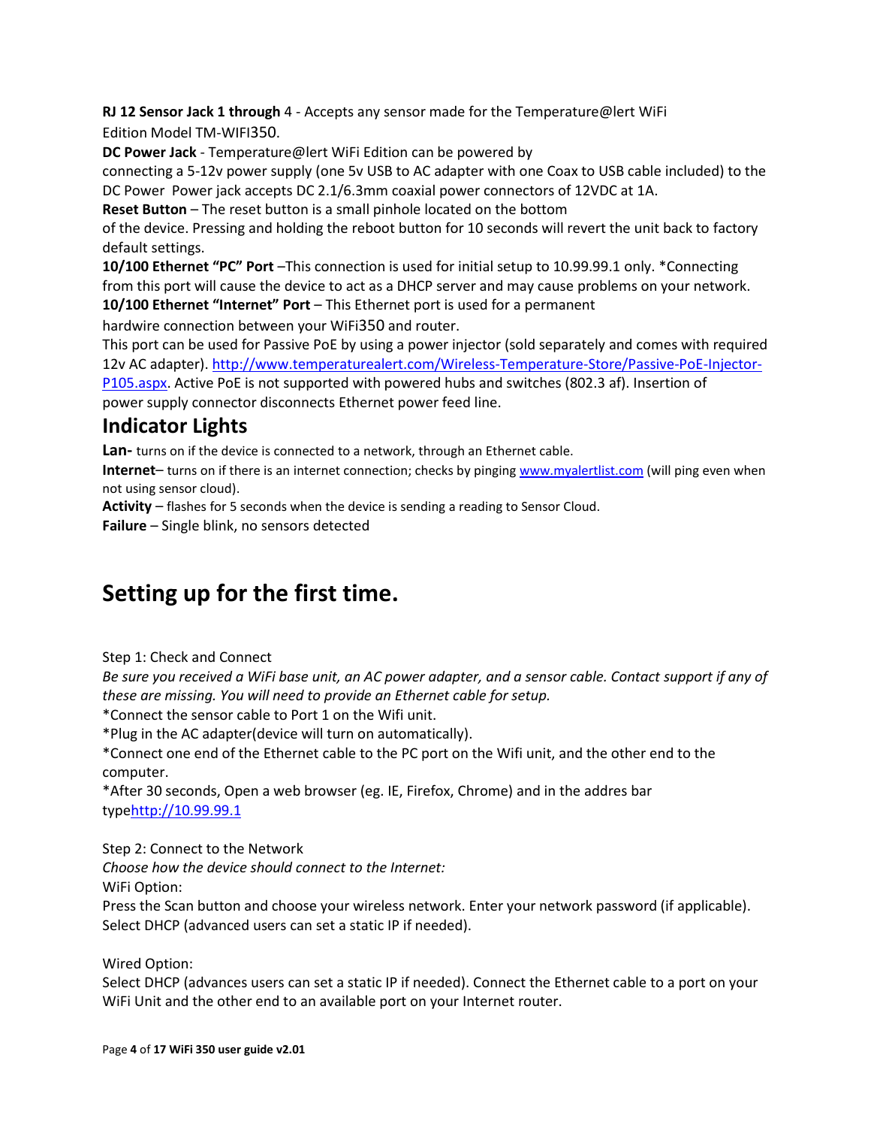**RJ 12 Sensor Jack 1 through** 4 - Accepts any sensor made for the Temperature@lert WiFi Edition Model TM-WIFI350.

**DC Power Jack** - Temperature@lert WiFi Edition can be powered by connecting a 5-12v power supply (one 5v USB to AC adapter with one Coax to USB cable included) to the DC Power Power jack accepts DC 2.1/6.3mm coaxial power connectors of 12VDC at 1A.

**Reset Button** – The reset button is a small pinhole located on the bottom

of the device. Pressing and holding the reboot button for 10 seconds will revert the unit back to factory default settings.

**10/100 Ethernet "PC" Port** –This connection is used for initial setup to 10.99.99.1 only. \*Connecting from this port will cause the device to act as a DHCP server and may cause problems on your network. **10/100 Ethernet "Internet" Port** – This Ethernet port is used for a permanent

hardwire connection between your WiFi350 and router.

This port can be used for Passive PoE by using a power injector (sold separately and comes with required 12v AC adapter). [http://www.temperaturealert.com/Wireless-Temperature-Store/Passive-PoE-Injector-](http://www.temperaturealert.com/Wireless-Temperature-Store/Passive-PoE-Injector-P105.aspx)

[P105.aspx.](http://www.temperaturealert.com/Wireless-Temperature-Store/Passive-PoE-Injector-P105.aspx) Active PoE is not supported with powered hubs and switches (802.3 af). Insertion of power supply connector disconnects Ethernet power feed line.

### <span id="page-3-0"></span>**Indicator Lights**

**Lan-** turns on if the device is connected to a network, through an Ethernet cable.

**Internet**– turns on if there is an internet connection; checks by pingin[g www.myalertlist.com](http://www.myalertlist.com/) (will ping even when not using sensor cloud).

**Activity** – flashes for 5 seconds when the device is sending a reading to Sensor Cloud.

**Failure** – Single blink, no sensors detected

# <span id="page-3-1"></span>**Setting up for the first time.**

Step 1: Check and Connect

*Be sure you received a WiFi base unit, an AC power adapter, and a sensor cable. Contact support if any of these are missing. You will need to provide an Ethernet cable for setup.*

\*Connect the sensor cable to Port 1 on the Wifi unit.

\*Plug in the AC adapter(device will turn on automatically).

\*Connect one end of the Ethernet cable to the PC port on the Wifi unit, and the other end to the computer.

\*After 30 seconds, Open a web browser (eg. IE, Firefox, Chrome) and in the addres bar typ[ehttp://10.99.99.1](http://10.99.99.1/)

Step 2: Connect to the Network

*Choose how the device should connect to the Internet:*

WiFi Option:

Press the Scan button and choose your wireless network. Enter your network password (if applicable). Select DHCP (advanced users can set a static IP if needed).

Wired Option:

Select DHCP (advances users can set a static IP if needed). Connect the Ethernet cable to a port on your WiFi Unit and the other end to an available port on your Internet router.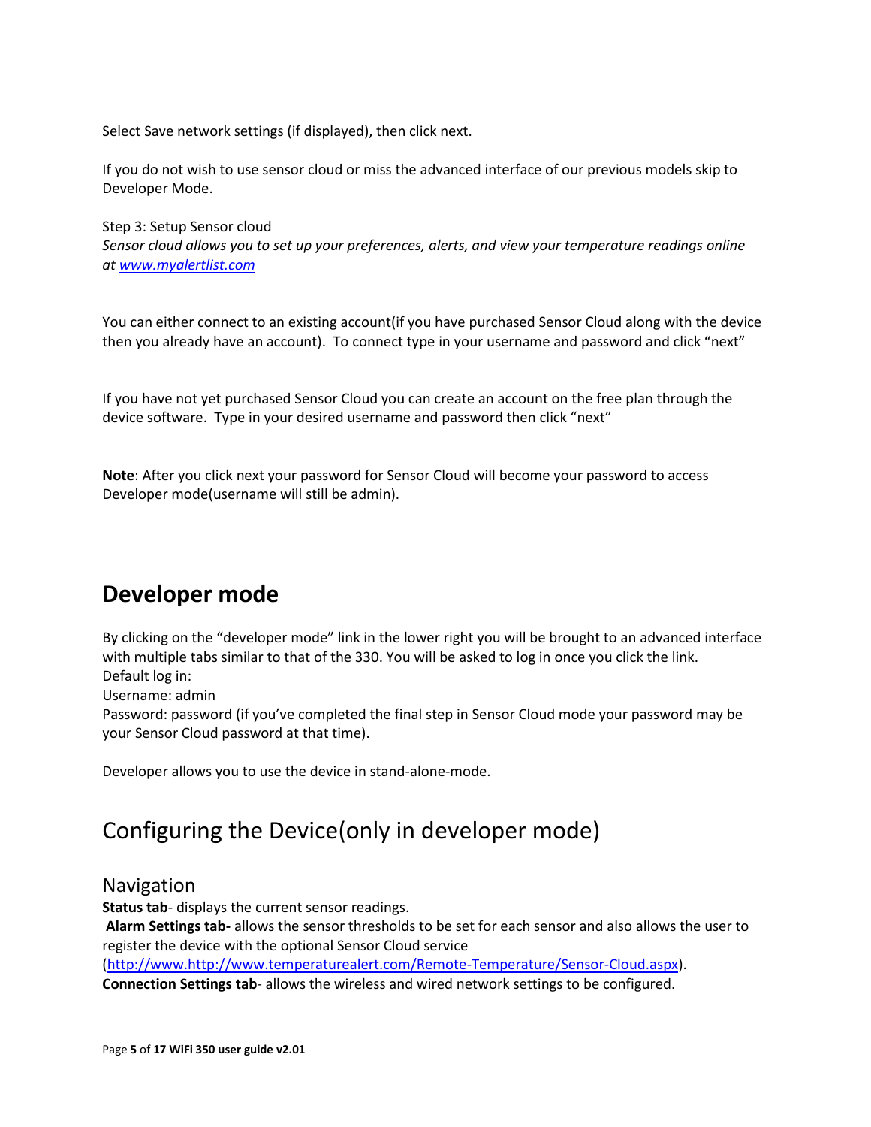Select Save network settings (if displayed), then click next.

If you do not wish to use sensor cloud or miss the advanced interface of our previous models skip to Developer Mode.

Step 3: Setup Sensor cloud *Sensor cloud allows you to set up your preferences, alerts, and view your temperature readings online at [www.myalertlist.com](http://www.myalertlist.com/)*

You can either connect to an existing account(if you have purchased Sensor Cloud along with the device then you already have an account). To connect type in your username and password and click "next"

If you have not yet purchased Sensor Cloud you can create an account on the free plan through the device software. Type in your desired username and password then click "next"

**Note**: After you click next your password for Sensor Cloud will become your password to access Developer mode(username will still be admin).

### <span id="page-4-0"></span>**Developer mode**

By clicking on the "developer mode" link in the lower right you will be brought to an advanced interface with multiple tabs similar to that of the 330. You will be asked to log in once you click the link. Default log in:

Username: admin

Password: password (if you've completed the final step in Sensor Cloud mode your password may be your Sensor Cloud password at that time).

Developer allows you to use the device in stand-alone-mode.

# <span id="page-4-1"></span>Configuring the Device(only in developer mode)

#### Navigation

**Status tab**- displays the current sensor readings.

**Alarm Settings tab-** allows the sensor thresholds to be set for each sensor and also allows the user to register the device with the optional Sensor Cloud service

[\(http://www.http://www.temperaturealert.com/Remote-Temperature/Sensor-Cloud.aspx\)](http://www.http/www.temperaturealert.com/Remote-Temperature/Sensor-Cloud.aspx).

**Connection Settings tab**- allows the wireless and wired network settings to be configured.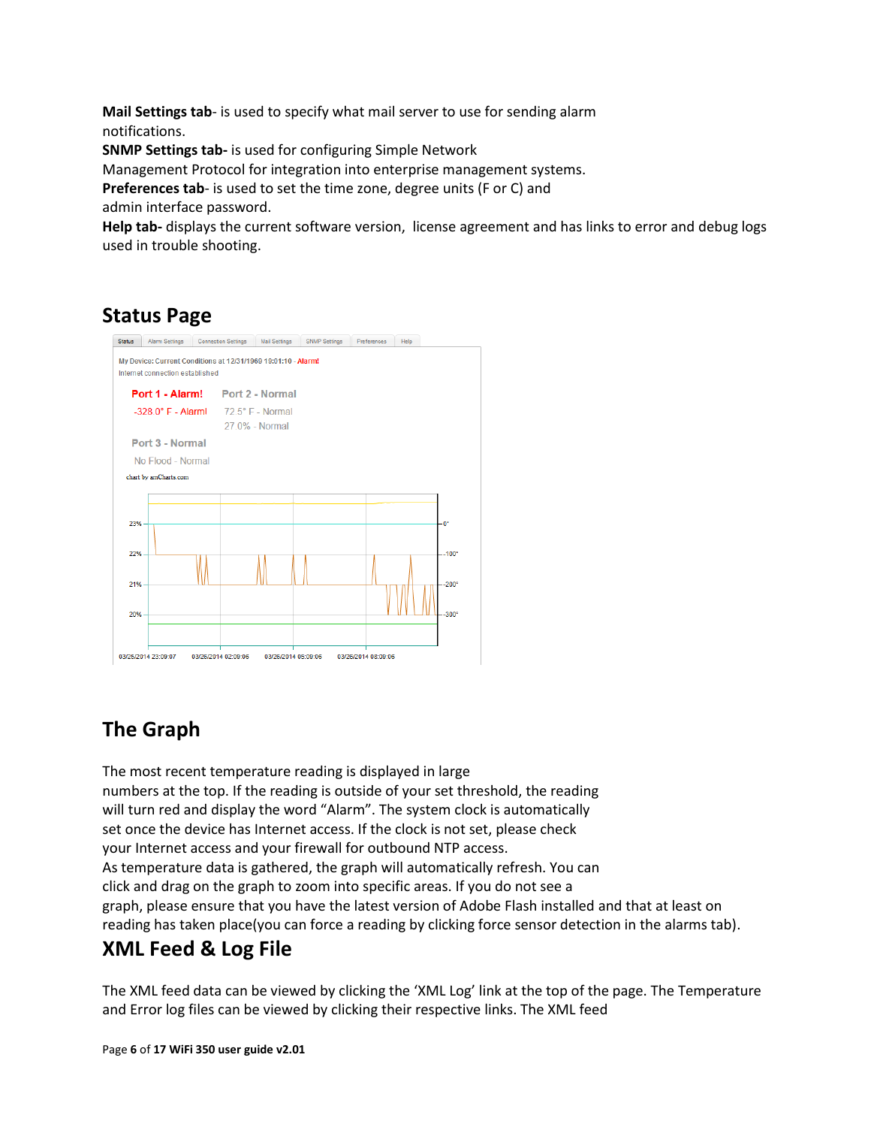**Mail Settings tab**- is used to specify what mail server to use for sending alarm notifications.

**SNMP Settings tab-** is used for configuring Simple Network

Management Protocol for integration into enterprise management systems.

**Preferences tab**- is used to set the time zone, degree units (F or C) and admin interface password.

**Help tab-** displays the current software version, license agreement and has links to error and debug logs used in trouble shooting.

# <span id="page-5-0"></span>**Status Page**



# <span id="page-5-1"></span>**The Graph**

The most recent temperature reading is displayed in large numbers at the top. If the reading is outside of your set threshold, the reading will turn red and display the word "Alarm". The system clock is automatically set once the device has Internet access. If the clock is not set, please check your Internet access and your firewall for outbound NTP access. As temperature data is gathered, the graph will automatically refresh. You can click and drag on the graph to zoom into specific areas. If you do not see a graph, please ensure that you have the latest version of Adobe Flash installed and that at least on reading has taken place(you can force a reading by clicking force sensor detection in the alarms tab).

### **XML Feed & Log File**

The XML feed data can be viewed by clicking the 'XML Log' link at the top of the page. The Temperature and Error log files can be viewed by clicking their respective links. The XML feed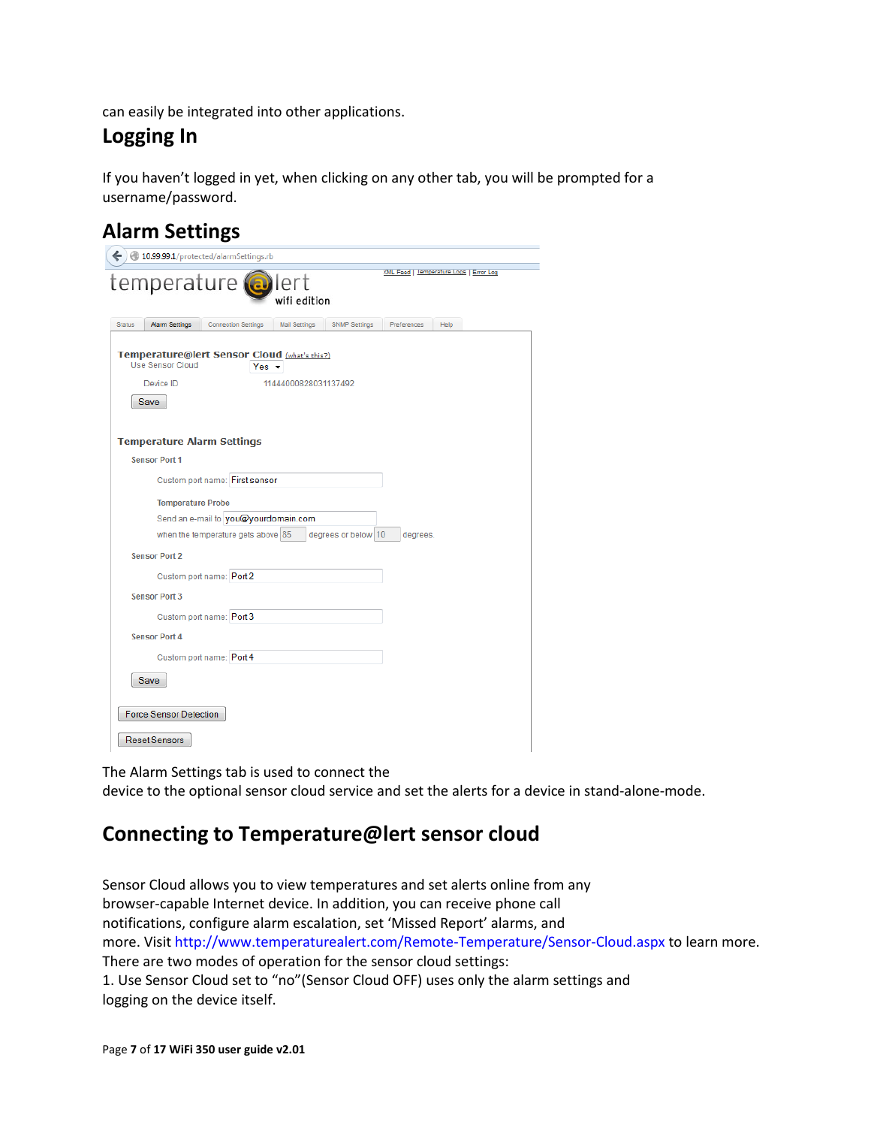can easily be integrated into other applications.

### **Logging In**

If you haven't logged in yet, when clicking on any other tab, you will be prompted for a username/password.

### **Alarm Settings**

| 10.99.99.1/protected/alarmSettings.rb                                                                                                       |
|---------------------------------------------------------------------------------------------------------------------------------------------|
| XML Feed   lemperature Logs   Error Log<br>temperature <b>@</b> lert<br>wifi edition                                                        |
| <b>Status</b><br><b>Alarm Settings</b><br><b>Connection Settings</b><br><b>Mail Settings</b><br><b>SNMP Settings</b><br>Preferences<br>Help |
| Temperature@lert Sensor Cloud (what's this?)<br><b>Use Sensor Cloud</b><br>Yes $\sim$                                                       |
| 11444000828031137492<br>Device ID                                                                                                           |
| Save                                                                                                                                        |
|                                                                                                                                             |
| <b>Temperature Alarm Settings</b>                                                                                                           |
| <b>Sensor Port 1</b>                                                                                                                        |
| Custom port name: First sensor                                                                                                              |
| <b>Temperature Probe</b>                                                                                                                    |
| Send an e-mail to you@yourdomain.com                                                                                                        |
| when the temperature gets above 85<br>degrees or below 10<br>degrees.                                                                       |
| <b>Sensor Port 2</b>                                                                                                                        |
| Custom port name: Port 2                                                                                                                    |
| <b>Sensor Port 3</b>                                                                                                                        |
| Custom port name: Port 3                                                                                                                    |
| <b>Sensor Port 4</b>                                                                                                                        |
| Custom port name: Port 4                                                                                                                    |
| Save                                                                                                                                        |
| <b>Force Sensor Detection</b>                                                                                                               |
| <b>Reset Sensors</b>                                                                                                                        |

The Alarm Settings tab is used to connect the device to the optional sensor cloud service and set the alerts for a device in stand-alone-mode.

### <span id="page-6-0"></span>**Connecting to Temperature@lert sensor cloud**

Sensor Cloud allows you to view temperatures and set alerts online from any browser-capable Internet device. In addition, you can receive phone call notifications, configure alarm escalation, set 'Missed Report' alarms, and more. Visit http://www.temperaturealert.com/Remote-Temperature/Sensor-Cloud.aspx to learn more. There are two modes of operation for the sensor cloud settings: 1. Use Sensor Cloud set to "no"(Sensor Cloud OFF) uses only the alarm settings and logging on the device itself.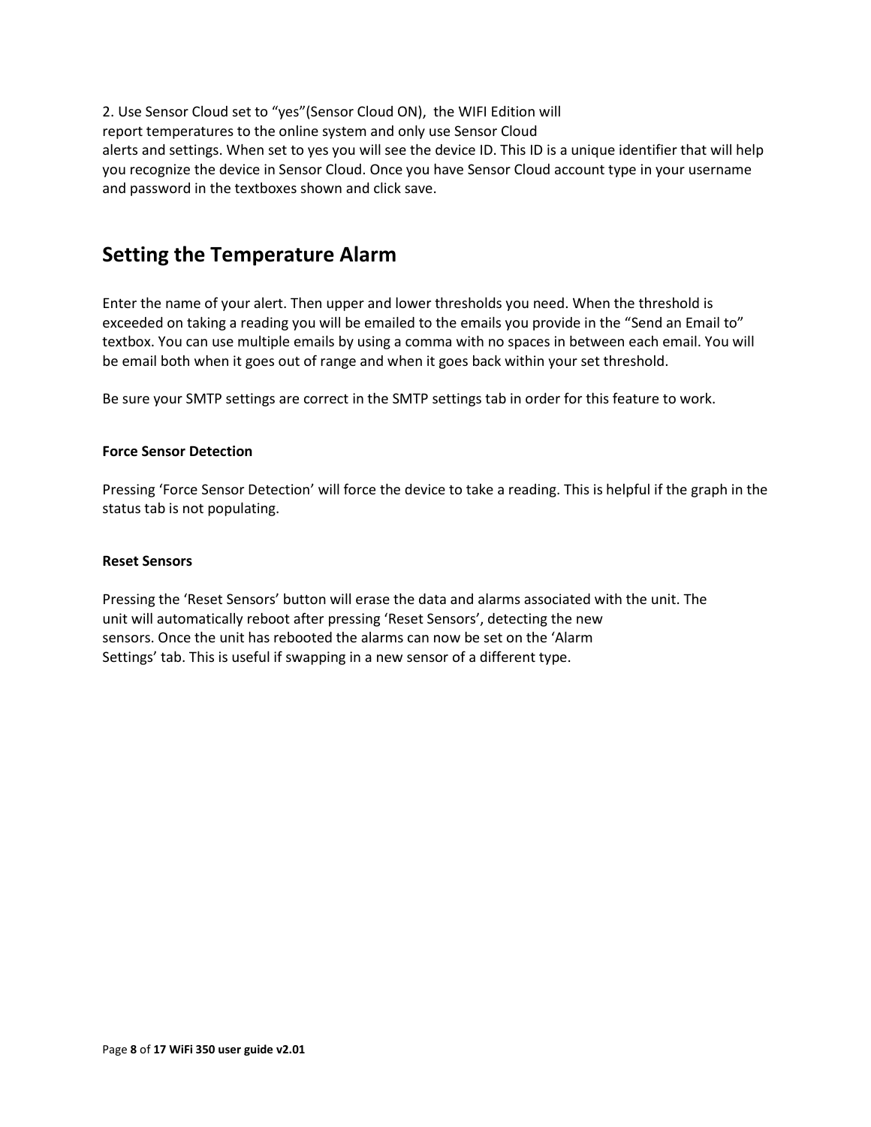2. Use Sensor Cloud set to "yes"(Sensor Cloud ON), the WIFI Edition will report temperatures to the online system and only use Sensor Cloud alerts and settings. When set to yes you will see the device ID. This ID is a unique identifier that will help you recognize the device in Sensor Cloud. Once you have Sensor Cloud account type in your username and password in the textboxes shown and click save.

### <span id="page-7-0"></span>**Setting the Temperature Alarm**

Enter the name of your alert. Then upper and lower thresholds you need. When the threshold is exceeded on taking a reading you will be emailed to the emails you provide in the "Send an Email to" textbox. You can use multiple emails by using a comma with no spaces in between each email. You will be email both when it goes out of range and when it goes back within your set threshold.

Be sure your SMTP settings are correct in the SMTP settings tab in order for this feature to work.

#### <span id="page-7-1"></span>**Force Sensor Detection**

Pressing 'Force Sensor Detection' will force the device to take a reading. This is helpful if the graph in the status tab is not populating.

#### <span id="page-7-2"></span>**Reset Sensors**

Pressing the 'Reset Sensors' button will erase the data and alarms associated with the unit. The unit will automatically reboot after pressing 'Reset Sensors', detecting the new sensors. Once the unit has rebooted the alarms can now be set on the 'Alarm Settings' tab. This is useful if swapping in a new sensor of a different type.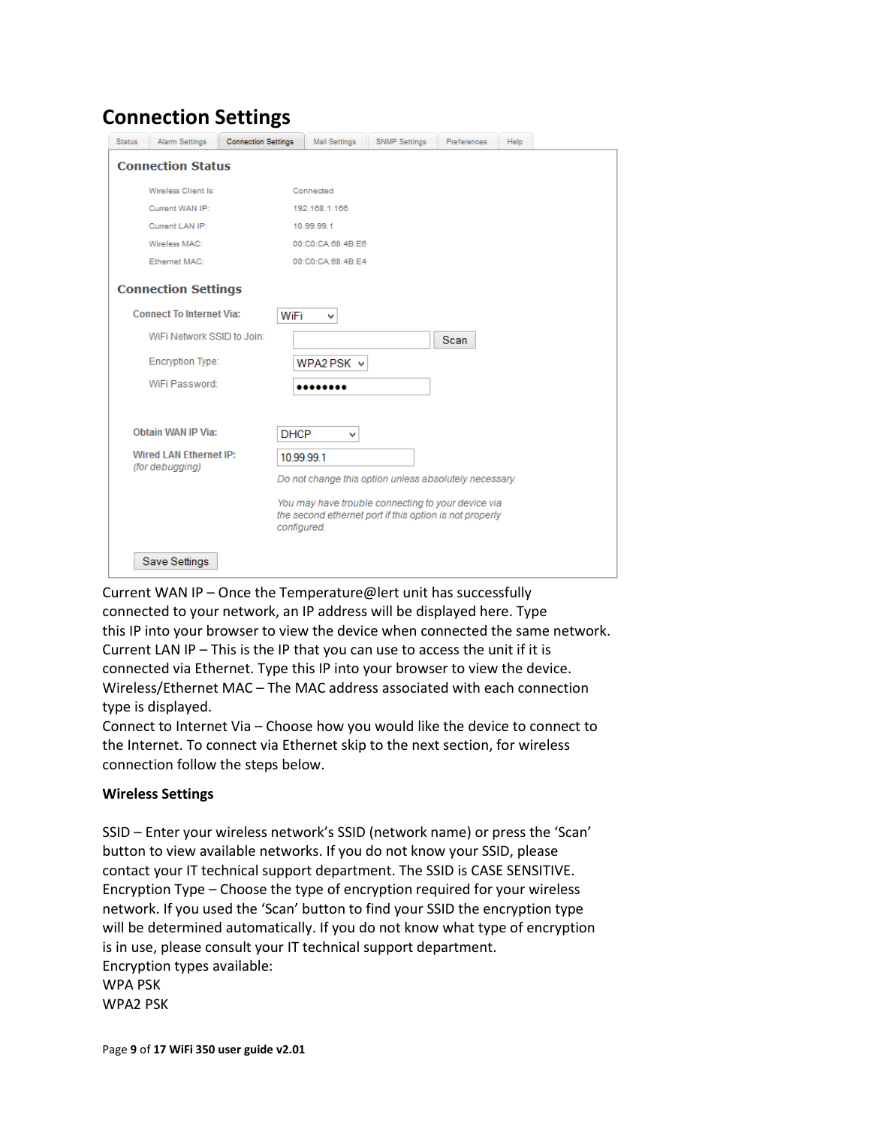### <span id="page-8-0"></span>**Connection Settings**

| <b>Status</b> | Alarm Settings                  | <b>Connection Settings</b> | <b>Mail Settings</b> | <b>SNMP Settings</b> | Preferences                                                                                                   | Help |  |
|---------------|---------------------------------|----------------------------|----------------------|----------------------|---------------------------------------------------------------------------------------------------------------|------|--|
|               | <b>Connection Status</b>        |                            |                      |                      |                                                                                                               |      |  |
|               | Wireless Client Is:             |                            | Connected            |                      |                                                                                                               |      |  |
|               | Current WAN IP:                 |                            | 192.168.1.166        |                      |                                                                                                               |      |  |
|               | Current LAN IP:                 |                            | 10.99.99.1           |                      |                                                                                                               |      |  |
|               | Wireless MAC:                   |                            | 00:C0:CA:68:4B:E6    |                      |                                                                                                               |      |  |
|               | Ethernet MAC:                   |                            | 00:C0:CA:68:4B:E4    |                      |                                                                                                               |      |  |
|               | <b>Connection Settings</b>      |                            |                      |                      |                                                                                                               |      |  |
|               | <b>Connect To Internet Via:</b> | WiFi                       | v                    |                      |                                                                                                               |      |  |
|               | WiFi Network SSID to Join:      |                            |                      |                      | Scan                                                                                                          |      |  |
|               | <b>Encryption Type:</b>         |                            | WPA2 PSK $\vee$      |                      |                                                                                                               |      |  |
|               | WiFi Password:                  |                            |                      |                      |                                                                                                               |      |  |
|               |                                 |                            |                      |                      |                                                                                                               |      |  |
|               | <b>Obtain WAN IP Via:</b>       | <b>DHCP</b>                | v                    |                      |                                                                                                               |      |  |
|               | <b>Wired LAN Ethernet IP:</b>   |                            | 10.99.99.1           |                      |                                                                                                               |      |  |
|               | (for debugging)                 |                            |                      |                      | Do not change this option unless absolutely necessary.                                                        |      |  |
|               |                                 | configured.                |                      |                      | You may have trouble connecting to your device via<br>the second ethernet port if this option is not properly |      |  |
|               | <b>Save Settings</b>            |                            |                      |                      |                                                                                                               |      |  |

Current WAN IP – Once the Temperature@lert unit has successfully connected to your network, an IP address will be displayed here. Type this IP into your browser to view the device when connected the same network. Current LAN IP – This is the IP that you can use to access the unit if it is connected via Ethernet. Type this IP into your browser to view the device. Wireless/Ethernet MAC – The MAC address associated with each connection type is displayed.

Connect to Internet Via – Choose how you would like the device to connect to the Internet. To connect via Ethernet skip to the next section, for wireless connection follow the steps below.

#### **Wireless Settings**

SSID – Enter your wireless network's SSID (network name) or press the 'Scan' button to view available networks. If you do not know your SSID, please contact your IT technical support department. The SSID is CASE SENSITIVE. Encryption Type – Choose the type of encryption required for your wireless network. If you used the 'Scan' button to find your SSID the encryption type will be determined automatically. If you do not know what type of encryption is in use, please consult your IT technical support department. Encryption types available: WPA PSK WPA2 PSK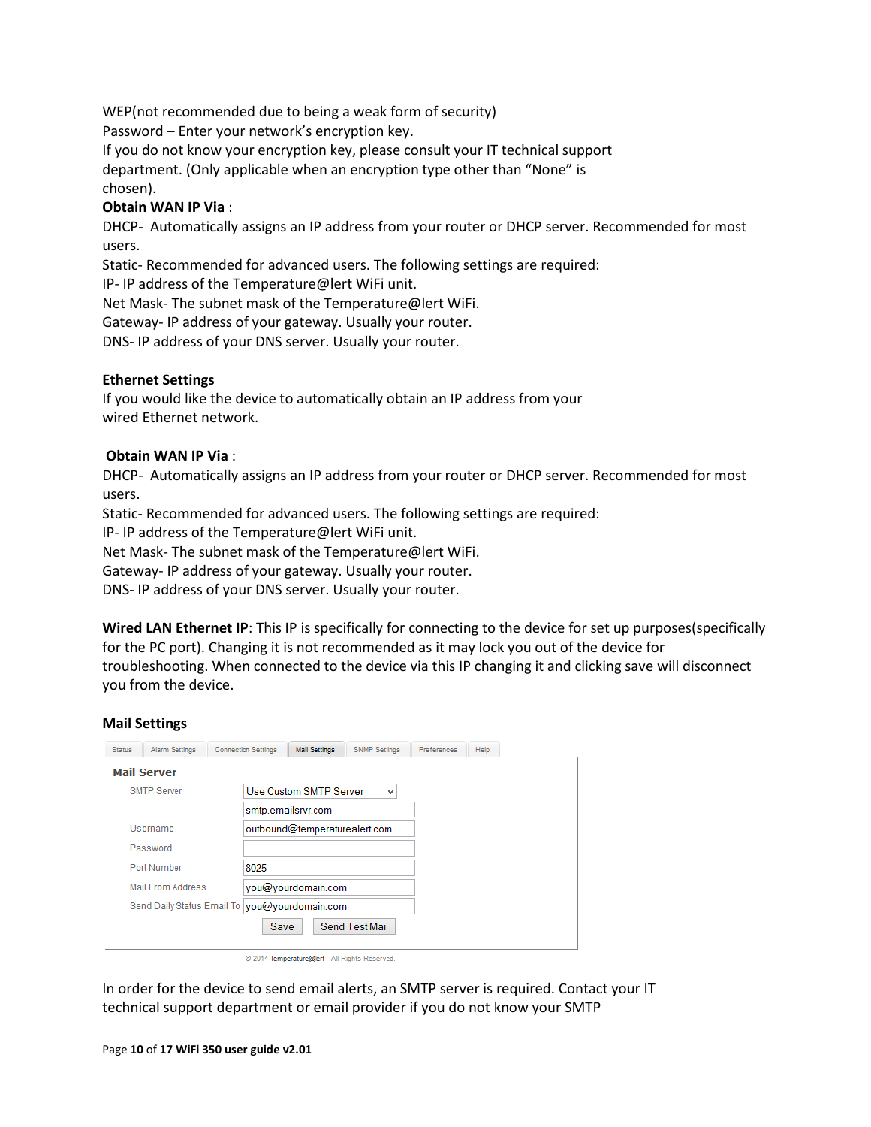WEP(not recommended due to being a weak form of security)

Password – Enter your network's encryption key.

If you do not know your encryption key, please consult your IT technical support

department. (Only applicable when an encryption type other than "None" is chosen).

#### **Obtain WAN IP Via** :

DHCP- Automatically assigns an IP address from your router or DHCP server. Recommended for most users.

Static- Recommended for advanced users. The following settings are required:

IP- IP address of the Temperature@lert WiFi unit.

Net Mask- The subnet mask of the Temperature@lert WiFi.

Gateway- IP address of your gateway. Usually your router.

DNS- IP address of your DNS server. Usually your router.

#### <span id="page-9-0"></span>**Ethernet Settings**

If you would like the device to automatically obtain an IP address from your wired Ethernet network.

#### **Obtain WAN IP Via** :

DHCP- Automatically assigns an IP address from your router or DHCP server. Recommended for most users.

Static- Recommended for advanced users. The following settings are required:

IP- IP address of the Temperature@lert WiFi unit.

Net Mask- The subnet mask of the Temperature@lert WiFi.

Gateway- IP address of your gateway. Usually your router.

DNS- IP address of your DNS server. Usually your router.

<span id="page-9-1"></span>**Wired LAN Ethernet IP**: This IP is specifically for connecting to the device for set up purposes(specifically for the PC port). Changing it is not recommended as it may lock you out of the device for troubleshooting. When connected to the device via this IP changing it and clicking save will disconnect you from the device.

#### <span id="page-9-2"></span>**Mail Settings**

| <b>Status</b>      | <b>Alarm Settings</b>                            | <b>Connection Settings</b> | <b>Mail Settings</b>          | <b>SNMP Settings</b> | Preferences | Help |
|--------------------|--------------------------------------------------|----------------------------|-------------------------------|----------------------|-------------|------|
| <b>Mail Server</b> |                                                  |                            |                               |                      |             |      |
|                    | <b>SMTP Server</b>                               |                            | Use Custom SMTP Server        | v                    |             |      |
|                    |                                                  |                            | smtp.emailsrvr.com            |                      |             |      |
|                    | Username                                         |                            | outbound@temperaturealert.com |                      |             |      |
|                    | Password                                         |                            |                               |                      |             |      |
|                    | Port Number                                      | 8025                       |                               |                      |             |      |
|                    | <b>Mail From Address</b>                         |                            | you@yourdomain.com            |                      |             |      |
|                    | you@yourdomain.com<br>Send Daily Status Email To |                            |                               |                      |             |      |
|                    |                                                  | Save                       |                               | Send Test Mail       |             |      |
|                    |                                                  |                            |                               |                      |             |      |

@ 2014 Temperature@lert - All Rights Reserved.

In order for the device to send email alerts, an SMTP server is required. Contact your IT technical support department or email provider if you do not know your SMTP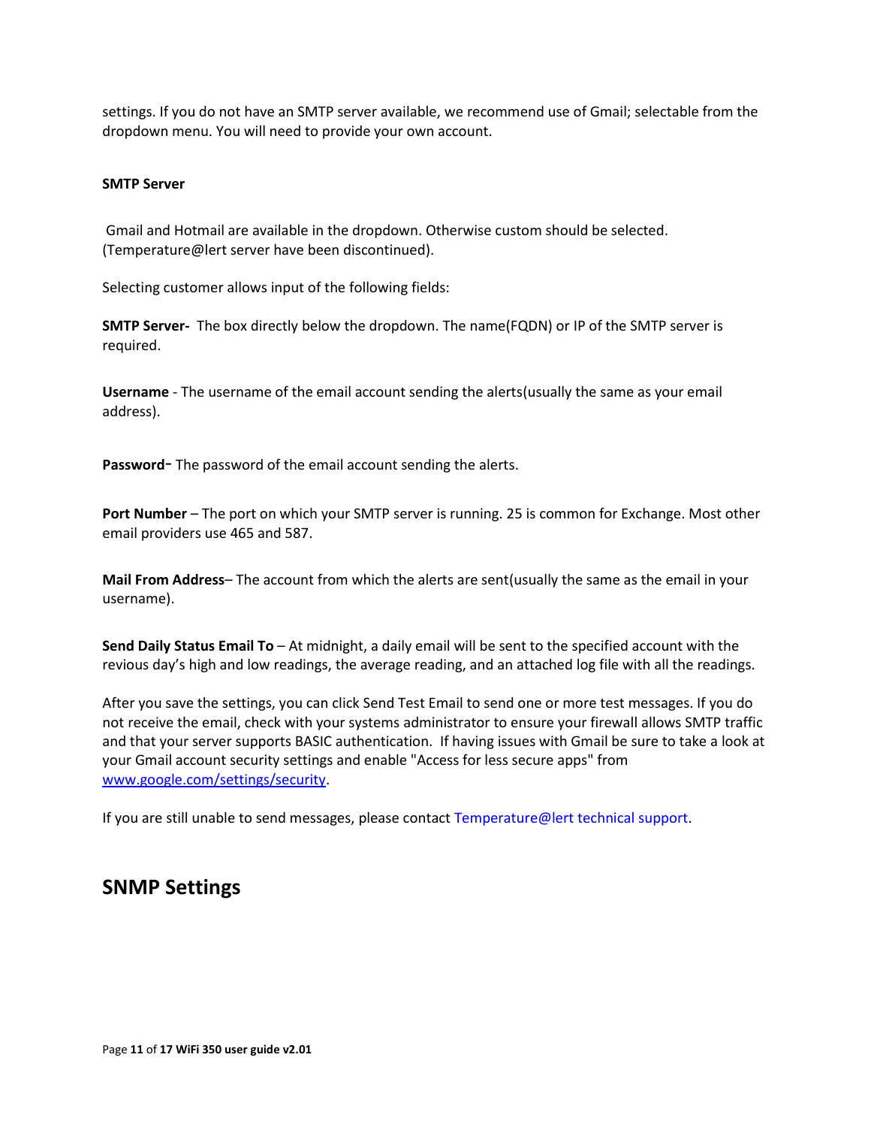settings. If you do not have an SMTP server available, we recommend use of Gmail; selectable from the dropdown menu. You will need to provide your own account.

#### <span id="page-10-0"></span>**SMTP Server**

Gmail and Hotmail are available in the dropdown. Otherwise custom should be selected. (Temperature@lert server have been discontinued).

Selecting customer allows input of the following fields:

**SMTP Server-** The box directly below the dropdown. The name(FQDN) or IP of the SMTP server is required.

<span id="page-10-1"></span>**Username** - The username of the email account sending the alerts(usually the same as your email address).

<span id="page-10-2"></span>**Password**- The password of the email account sending the alerts.

<span id="page-10-3"></span>**Port Number** – The port on which your SMTP server is running. 25 is common for Exchange. Most other email providers use 465 and 587.

<span id="page-10-4"></span>**Mail From Address**– The account from which the alerts are sent(usually the same as the email in your username).

<span id="page-10-5"></span>**Send Daily Status Email To** – At midnight, a daily email will be sent to the specified account with the revious day's high and low readings, the average reading, and an attached log file with all the readings.

After you save the settings, you can click Send Test Email to send one or more test messages. If you do not receive the email, check with your systems administrator to ensure your firewall allows SMTP traffic and that your server supports BASIC authentication. If having issues with Gmail be sure to take a look at your Gmail account security settings and enable "Access for less secure apps" from [www.google.com/settings/security.](http://www.google.com/settings/security)

If you are still unable to send messages, please contact Temperature@lert technical support.

### <span id="page-10-6"></span>**SNMP Settings**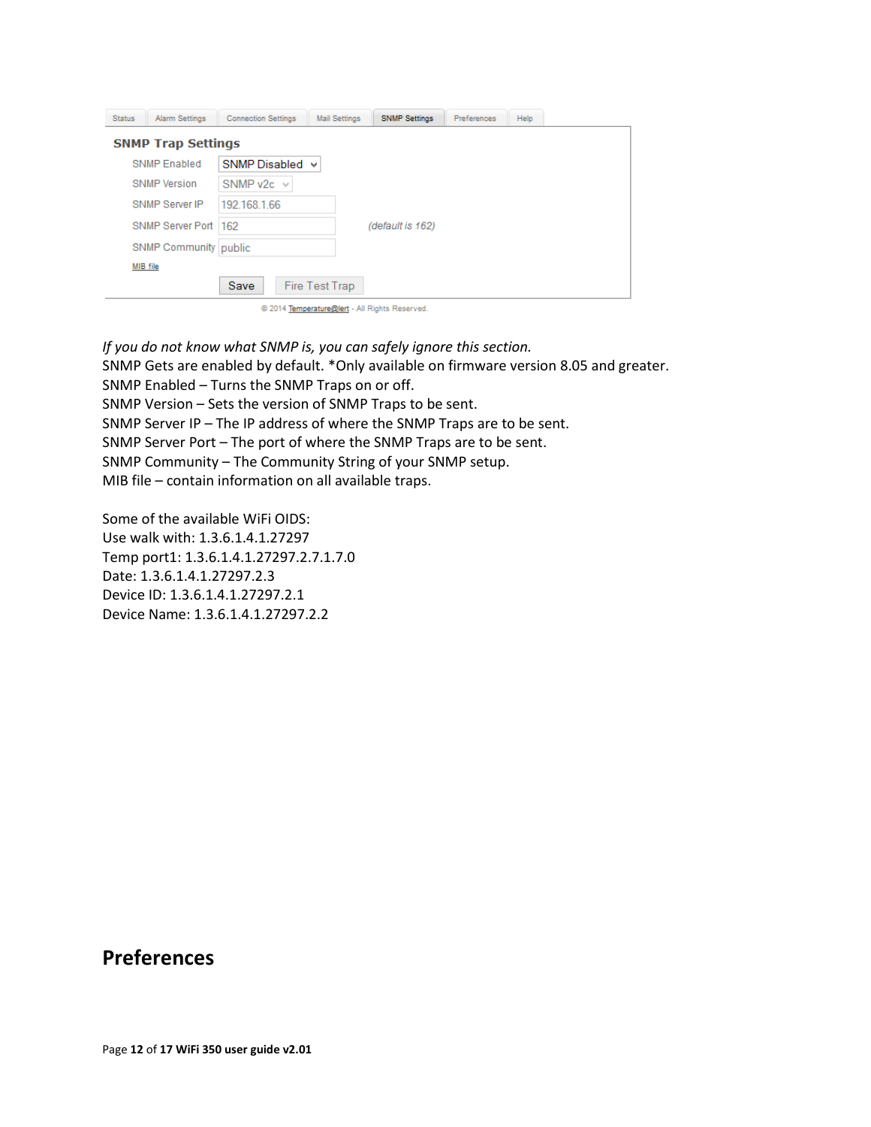| <b>Status</b> | <b>Alarm Settings</b>     | <b>Connection Settings</b> | <b>Mail Settings</b> | <b>SNMP Settings</b>                           | Preferences | Help |  |
|---------------|---------------------------|----------------------------|----------------------|------------------------------------------------|-------------|------|--|
|               | <b>SNMP Trap Settings</b> |                            |                      |                                                |             |      |  |
|               | <b>SNMP Enabled</b>       | SNMP Disabled v            |                      |                                                |             |      |  |
|               | <b>SNMP Version</b>       | SNMP v2c $\vee$            |                      |                                                |             |      |  |
|               | SNMP Server IP            | 192 168 1.66               |                      |                                                |             |      |  |
|               | SNMP Server Port   162    |                            |                      | (default is 162)                               |             |      |  |
|               | SNMP Community public     |                            |                      |                                                |             |      |  |
|               | MIB file                  |                            |                      |                                                |             |      |  |
|               |                           | Save                       | Fire Test Trap       |                                                |             |      |  |
|               |                           |                            |                      | @ 2014 Temperature@lert - All Rights Reserved. |             |      |  |

*If you do not know what SNMP is, you can safely ignore this section.*

SNMP Gets are enabled by default. \*Only available on firmware version 8.05 and greater. SNMP Enabled – Turns the SNMP Traps on or off. SNMP Version – Sets the version of SNMP Traps to be sent. SNMP Server IP – The IP address of where the SNMP Traps are to be sent. SNMP Server Port – The port of where the SNMP Traps are to be sent. SNMP Community – The Community String of your SNMP setup. MIB file – contain information on all available traps.

Some of the available WiFi OIDS: Use walk with: 1.3.6.1.4.1.27297 Temp port1: 1.3.6.1.4.1.27297.2.7.1.7.0 Date: 1.3.6.1.4.1.27297.2.3 Device ID: 1.3.6.1.4.1.27297.2.1 Device Name: 1.3.6.1.4.1.27297.2.2

### <span id="page-11-0"></span>**Preferences**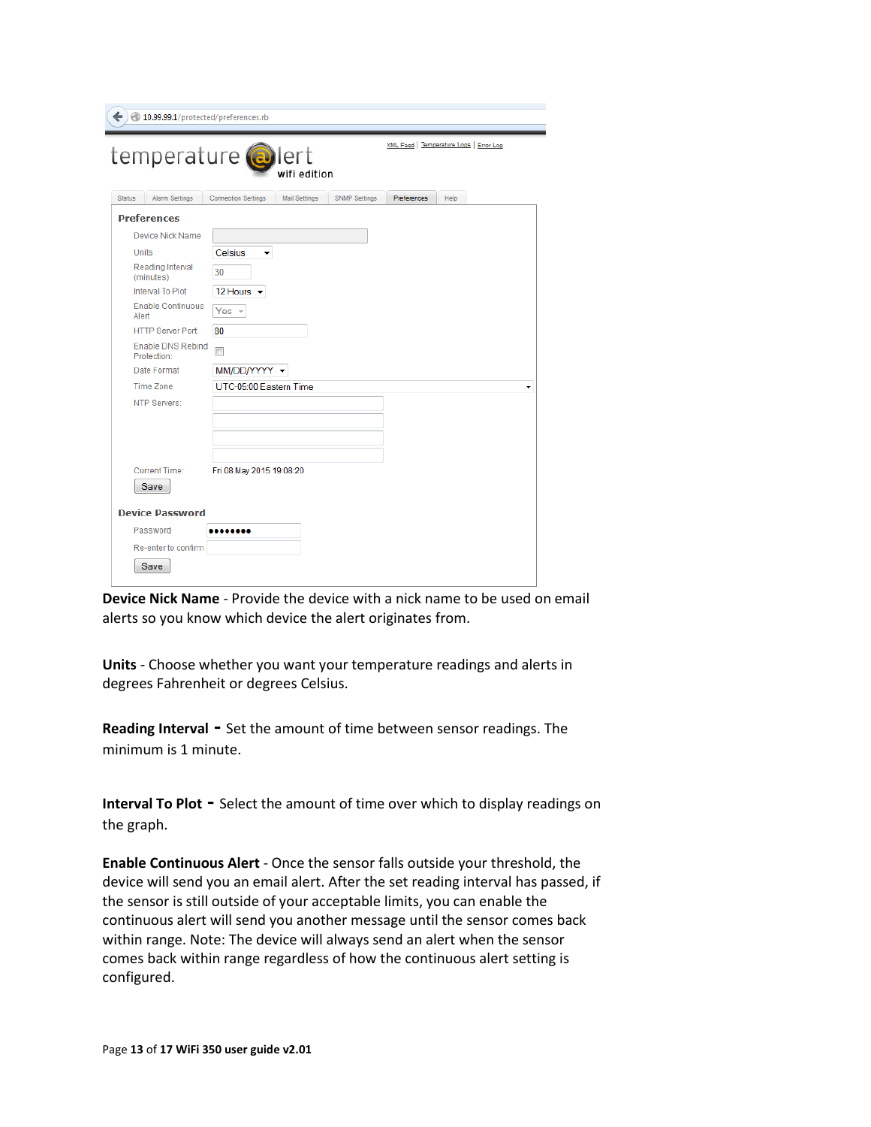| $\leftarrow$ $\leftarrow$ 10.99.99.1/protected/preferences.rb |                                                                                                   |  |  |  |  |  |
|---------------------------------------------------------------|---------------------------------------------------------------------------------------------------|--|--|--|--|--|
|                                                               | XML Feed   Temperature Logs   Error Log<br>temperature <b>@</b> lert<br>wifi edition              |  |  |  |  |  |
| <b>Status</b><br><b>Alarm Settings</b>                        | <b>SNMP Settings</b><br><b>Connection Settings</b><br><b>Mail Settings</b><br>Preferences<br>Help |  |  |  |  |  |
| <b>Preferences</b>                                            |                                                                                                   |  |  |  |  |  |
| Device Nick Name                                              |                                                                                                   |  |  |  |  |  |
| <b>Units</b>                                                  | Celsius<br>۰                                                                                      |  |  |  |  |  |
| Reading Interval<br>(minutes)                                 | 30                                                                                                |  |  |  |  |  |
| Interval To Plot                                              | 12 Hours $\blacktriangleright$                                                                    |  |  |  |  |  |
| <b>Enable Continuous</b><br>Alert                             | Yes $-$                                                                                           |  |  |  |  |  |
| <b>HTTP Server Port:</b>                                      | 80                                                                                                |  |  |  |  |  |
| <b>Enable DNS Rebind</b><br>Protection:                       | П                                                                                                 |  |  |  |  |  |
| Date Format                                                   | MM/DD/YYYY -                                                                                      |  |  |  |  |  |
| <b>Time Zone</b>                                              | UTC-05:00 Eastern Time<br>▼                                                                       |  |  |  |  |  |
| NTP Servers:                                                  |                                                                                                   |  |  |  |  |  |
|                                                               |                                                                                                   |  |  |  |  |  |
|                                                               |                                                                                                   |  |  |  |  |  |
|                                                               |                                                                                                   |  |  |  |  |  |
| <b>Current Time:</b>                                          | Fri 08 May 2015 19:08:20                                                                          |  |  |  |  |  |
| Save                                                          |                                                                                                   |  |  |  |  |  |
| <b>Device Password</b>                                        |                                                                                                   |  |  |  |  |  |
| Password                                                      |                                                                                                   |  |  |  |  |  |
| Re-enter to confirm                                           |                                                                                                   |  |  |  |  |  |
| Save                                                          |                                                                                                   |  |  |  |  |  |

**Device Nick Name** - Provide the device with a nick name to be used on email alerts so you know which device the alert originates from.

<span id="page-12-0"></span>**Units** - Choose whether you want your temperature readings and alerts in degrees Fahrenheit or degrees Celsius.

<span id="page-12-1"></span>**Reading Interval -** Set the amount of time between sensor readings. The minimum is 1 minute.

<span id="page-12-2"></span>**Interval To Plot -** Select the amount of time over which to display readings on the graph.

<span id="page-12-3"></span>**Enable Continuous Alert** - Once the sensor falls outside your threshold, the device will send you an email alert. After the set reading interval has passed, if the sensor is still outside of your acceptable limits, you can enable the continuous alert will send you another message until the sensor comes back within range. Note: The device will always send an alert when the sensor comes back within range regardless of how the continuous alert setting is configured.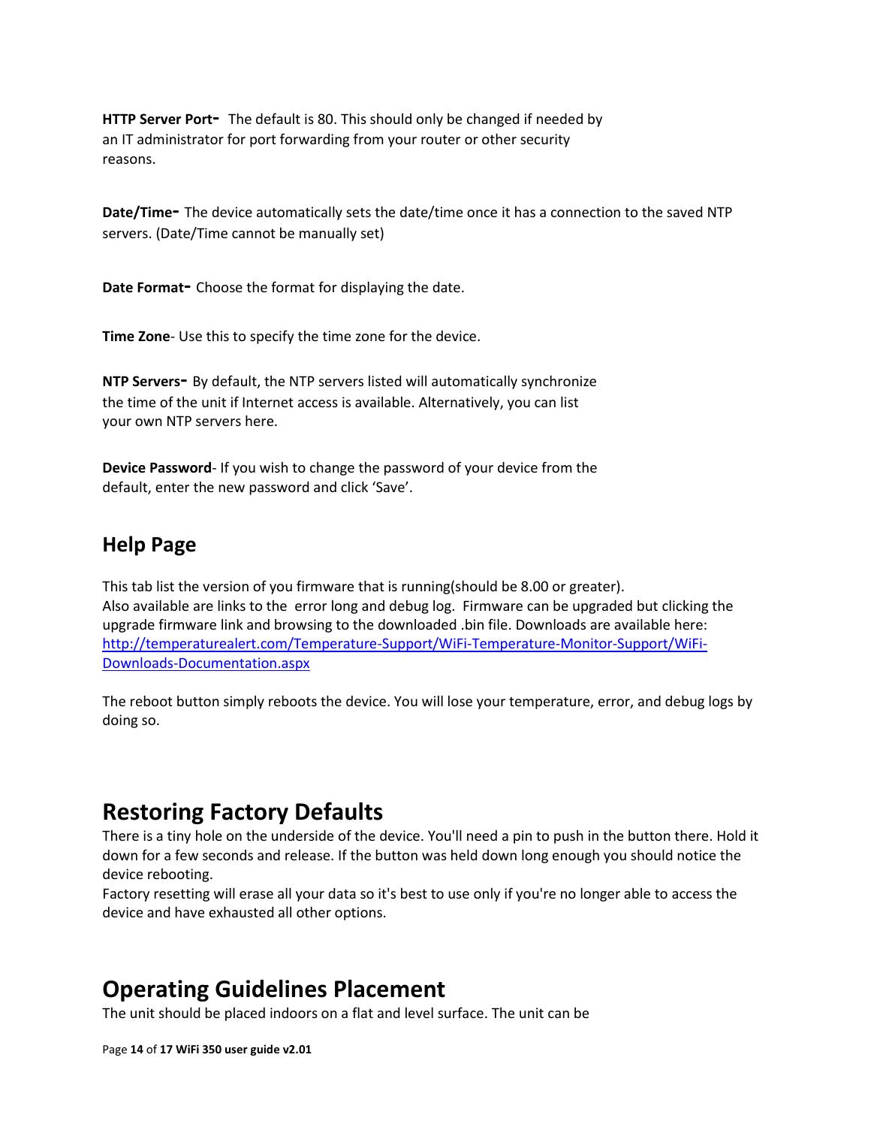<span id="page-13-0"></span>**HTTP Server Port-** The default is 80. This should only be changed if needed by an IT administrator for port forwarding from your router or other security reasons.

<span id="page-13-1"></span>**Date/Time-** The device automatically sets the date/time once it has a connection to the saved NTP servers. (Date/Time cannot be manually set)

<span id="page-13-2"></span>**Date Format-** Choose the format for displaying the date.

<span id="page-13-3"></span>**Time Zone**- Use this to specify the time zone for the device.

<span id="page-13-4"></span>**NTP Servers-** By default, the NTP servers listed will automatically synchronize the time of the unit if Internet access is available. Alternatively, you can list your own NTP servers here.

<span id="page-13-5"></span>**Device Password**- If you wish to change the password of your device from the default, enter the new password and click 'Save'.

### <span id="page-13-6"></span>**Help Page**

This tab list the version of you firmware that is running(should be 8.00 or greater). Also available are links to the error long and debug log. Firmware can be upgraded but clicking the upgrade firmware link and browsing to the downloaded .bin file. Downloads are available here: [http://temperaturealert.com/Temperature-Support/WiFi-Temperature-Monitor-Support/WiFi-](http://temperaturealert.com/Temperature-Support/WiFi-Temperature-Monitor-Support/WiFi-Downloads-Documentation.aspx)[Downloads-Documentation.aspx](http://temperaturealert.com/Temperature-Support/WiFi-Temperature-Monitor-Support/WiFi-Downloads-Documentation.aspx)

The reboot button simply reboots the device. You will lose your temperature, error, and debug logs by doing so.

### <span id="page-13-7"></span>**Restoring Factory Defaults**

There is a tiny hole on the underside of the device. You'll need a pin to push in the button there. Hold it down for a few seconds and release. If the button was held down long enough you should notice the device rebooting.

Factory resetting will erase all your data so it's best to use only if you're no longer able to access the device and have exhausted all other options.

### <span id="page-13-8"></span>**Operating Guidelines Placement**

The unit should be placed indoors on a flat and level surface. The unit can be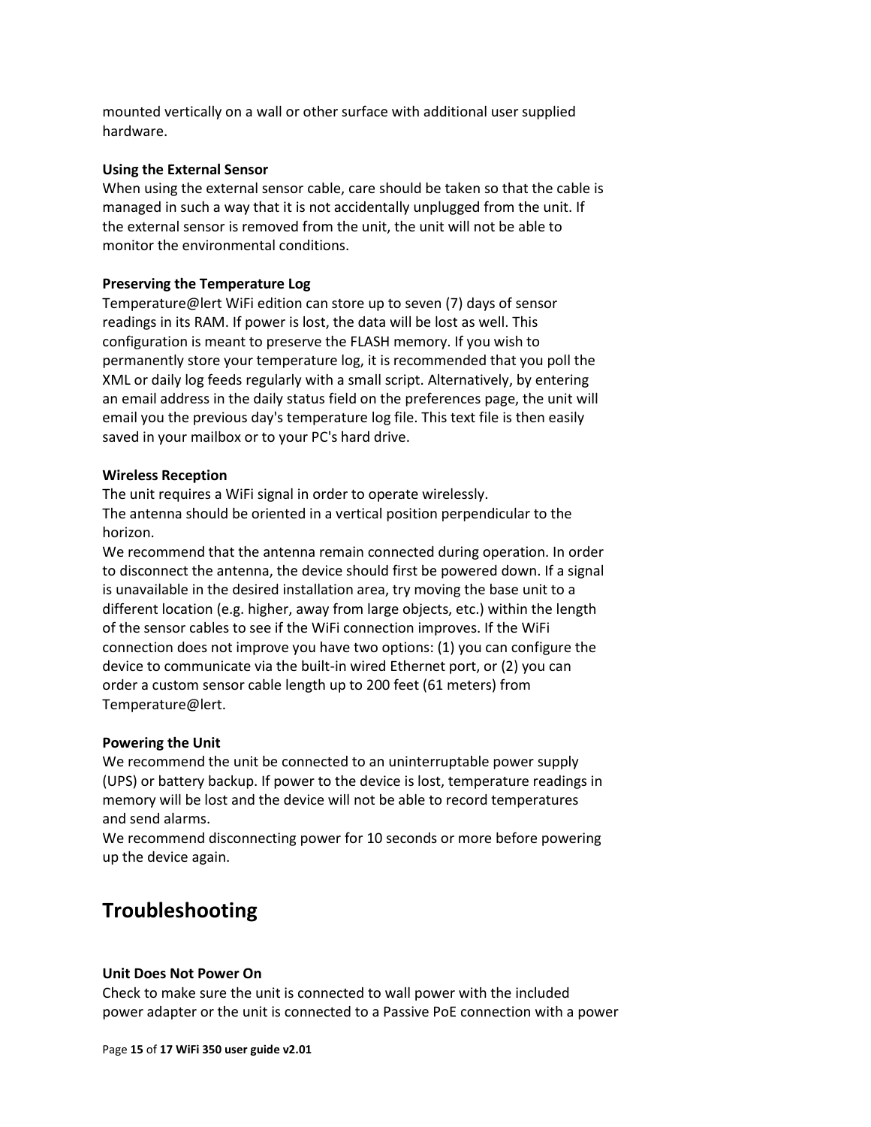mounted vertically on a wall or other surface with additional user supplied hardware.

#### <span id="page-14-0"></span>**Using the External Sensor**

When using the external sensor cable, care should be taken so that the cable is managed in such a way that it is not accidentally unplugged from the unit. If the external sensor is removed from the unit, the unit will not be able to monitor the environmental conditions.

#### <span id="page-14-1"></span>**Preserving the Temperature Log**

Temperature@lert WiFi edition can store up to seven (7) days of sensor readings in its RAM. If power is lost, the data will be lost as well. This configuration is meant to preserve the FLASH memory. If you wish to permanently store your temperature log, it is recommended that you poll the XML or daily log feeds regularly with a small script. Alternatively, by entering an email address in the daily status field on the preferences page, the unit will email you the previous day's temperature log file. This text file is then easily saved in your mailbox or to your PC's hard drive.

#### <span id="page-14-2"></span>**Wireless Reception**

The unit requires a WiFi signal in order to operate wirelessly. The antenna should be oriented in a vertical position perpendicular to the horizon.

We recommend that the antenna remain connected during operation. In order to disconnect the antenna, the device should first be powered down. If a signal is unavailable in the desired installation area, try moving the base unit to a different location (e.g. higher, away from large objects, etc.) within the length of the sensor cables to see if the WiFi connection improves. If the WiFi connection does not improve you have two options: (1) you can configure the device to communicate via the built-in wired Ethernet port, or (2) you can order a custom sensor cable length up to 200 feet (61 meters) from Temperature@lert.

#### <span id="page-14-3"></span>**Powering the Unit**

We recommend the unit be connected to an uninterruptable power supply (UPS) or battery backup. If power to the device is lost, temperature readings in memory will be lost and the device will not be able to record temperatures and send alarms.

We recommend disconnecting power for 10 seconds or more before powering up the device again.

### <span id="page-14-4"></span>**Troubleshooting**

#### **Unit Does Not Power On**

Check to make sure the unit is connected to wall power with the included power adapter or the unit is connected to a Passive PoE connection with a power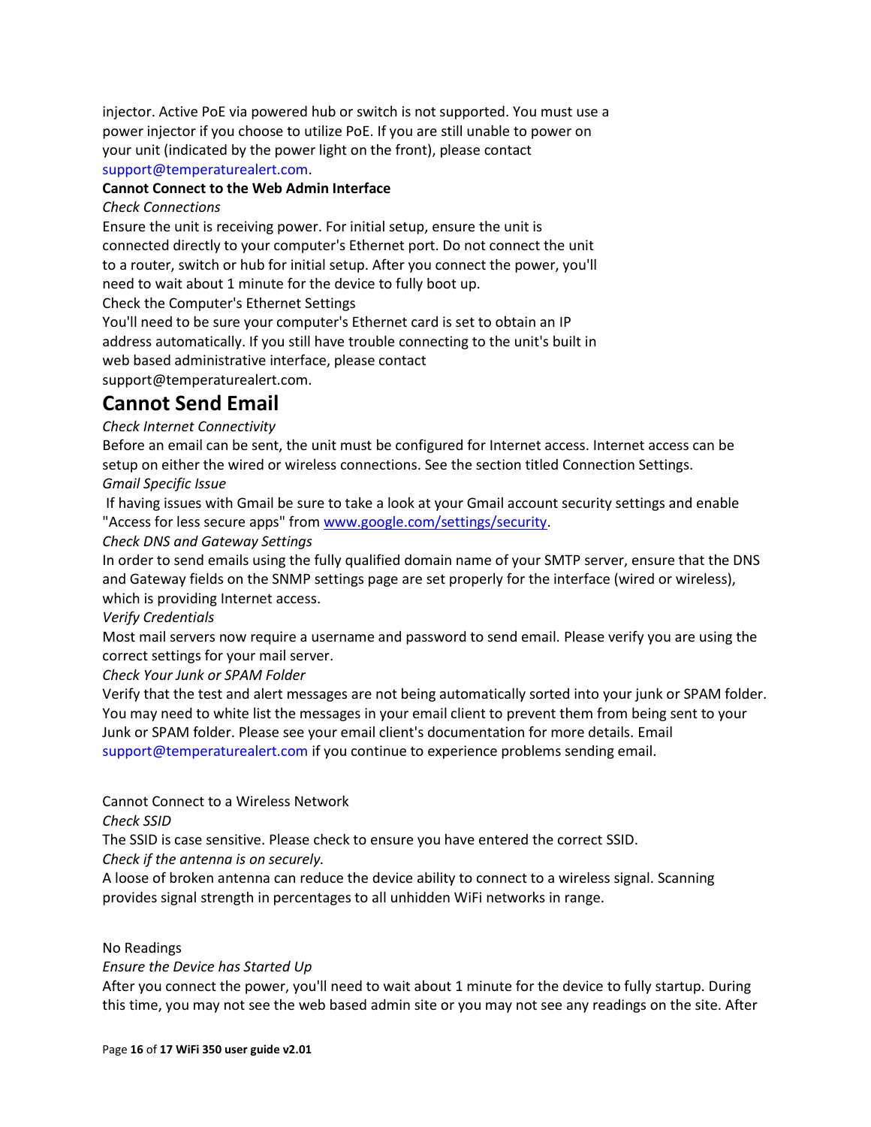injector. Active PoE via powered hub or switch is not supported. You must use a power injector if you choose to utilize PoE. If you are still unable to power on your unit (indicated by the power light on the front), please contact support@temperaturealert.com.

#### **Cannot Connect to the Web Admin Interface**

#### *Check Connections*

Ensure the unit is receiving power. For initial setup, ensure the unit is connected directly to your computer's Ethernet port. Do not connect the unit to a router, switch or hub for initial setup. After you connect the power, you'll need to wait about 1 minute for the device to fully boot up.

Check the Computer's Ethernet Settings

You'll need to be sure your computer's Ethernet card is set to obtain an IP address automatically. If you still have trouble connecting to the unit's built in web based administrative interface, please contact support@temperaturealert.com.

### **Cannot Send Email**

#### *Check Internet Connectivity*

Before an email can be sent, the unit must be configured for Internet access. Internet access can be setup on either the wired or wireless connections. See the section titled Connection Settings. *Gmail Specific Issue*

If having issues with Gmail be sure to take a look at your Gmail account security settings and enable "Access for less secure apps" fro[m www.google.com/settings/security.](http://www.google.com/settings/security)

*Check DNS and Gateway Settings*

In order to send emails using the fully qualified domain name of your SMTP server, ensure that the DNS and Gateway fields on the SNMP settings page are set properly for the interface (wired or wireless), which is providing Internet access.

*Verify Credentials*

Most mail servers now require a username and password to send email. Please verify you are using the correct settings for your mail server.

*Check Your Junk or SPAM Folder*

Verify that the test and alert messages are not being automatically sorted into your junk or SPAM folder. You may need to white list the messages in your email client to prevent them from being sent to your Junk or SPAM folder. Please see your email client's documentation for more details. Email support@temperaturealert.com if you continue to experience problems sending email.

Cannot Connect to a Wireless Network

*Check SSID*

The SSID is case sensitive. Please check to ensure you have entered the correct SSID.

*Check if the antenna is on securely.*

A loose of broken antenna can reduce the device ability to connect to a wireless signal. Scanning provides signal strength in percentages to all unhidden WiFi networks in range.

#### No Readings

*Ensure the Device has Started Up*

After you connect the power, you'll need to wait about 1 minute for the device to fully startup. During this time, you may not see the web based admin site or you may not see any readings on the site. After